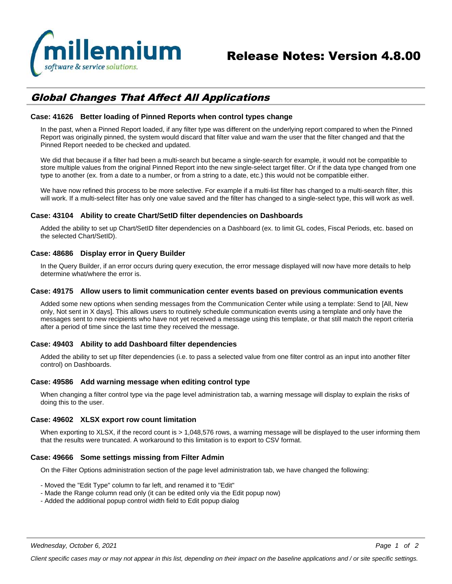

# *Global Changes That Affect All Applications*

### **Case: 41626 Better loading of Pinned Reports when control types change**

In the past, when a Pinned Report loaded, if any filter type was different on the underlying report compared to when the Pinned Report was originally pinned, the system would discard that filter value and warn the user that the filter changed and that the Pinned Report needed to be checked and updated.

We did that because if a filter had been a multi-search but became a single-search for example, it would not be compatible to store multiple values from the original Pinned Report into the new single-select target filter. Or if the data type changed from one type to another (ex. from a date to a number, or from a string to a date, etc.) this would not be compatible either.

We have now refined this process to be more selective. For example if a multi-list filter has changed to a multi-search filter, this will work. If a multi-select filter has only one value saved and the filter has changed to a single-select type, this will work as well.

# **Case: 43104 Ability to create Chart/SetID filter dependencies on Dashboards**

Added the ability to set up Chart/SetID filter dependencies on a Dashboard (ex. to limit GL codes, Fiscal Periods, etc. based on the selected Chart/SetID).

# **Case: 48686 Display error in Query Builder**

In the Query Builder, if an error occurs during query execution, the error message displayed will now have more details to help determine what/where the error is.

# **Case: 49175 Allow users to limit communication center events based on previous communication events**

Added some new options when sending messages from the Communication Center while using a template: Send to [All, New only, Not sent in X days]. This allows users to routinely schedule communication events using a template and only have the messages sent to new recipients who have not yet received a message using this template, or that still match the report criteria after a period of time since the last time they received the message.

#### **Case: 49403 Ability to add Dashboard filter dependencies**

Added the ability to set up filter dependencies (i.e. to pass a selected value from one filter control as an input into another filter control) on Dashboards.

#### **Case: 49586 Add warning message when editing control type**

When changing a filter control type via the page level administration tab, a warning message will display to explain the risks of doing this to the user.

#### **Case: 49602 XLSX export row count limitation**

When exporting to XLSX, if the record count is > 1,048,576 rows, a warning message will be displayed to the user informing them that the results were truncated. A workaround to this limitation is to export to CSV format.

### **Case: 49666 Some settings missing from Filter Admin**

On the Filter Options administration section of the page level administration tab, we have changed the following:

- Moved the "Edit Type" column to far left, and renamed it to "Edit"
- Made the Range column read only (it can be edited only via the Edit popup now)
- Added the additional popup control width field to Edit popup dialog